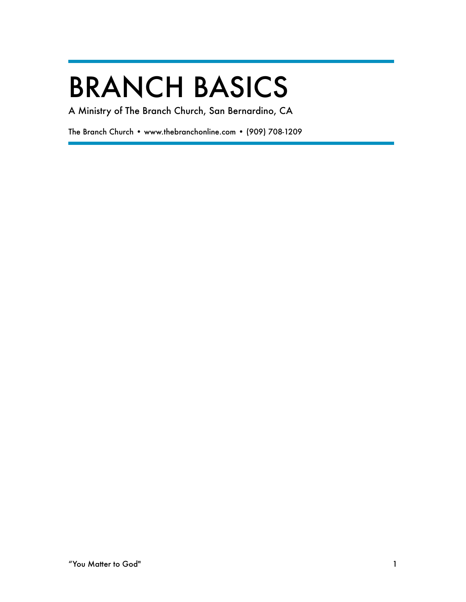# BRANCH BASICS

A Ministry of The Branch Church, San Bernardino, CA

The Branch Church • www.thebranchonline.com • (909) 708-1209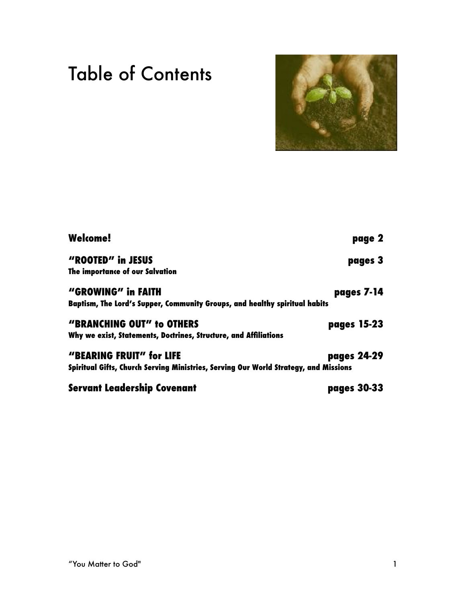# Table of Contents



| <b>Welcome!</b>                                                                      | page 2             |
|--------------------------------------------------------------------------------------|--------------------|
| "ROOTED" in JESUS                                                                    | pages 3            |
| The importance of our Salvation                                                      |                    |
| "GROWING" in FAITH                                                                   | pages 7-14         |
| Baptism, The Lord's Supper, Community Groups, and healthy spiritual habits           |                    |
| "BRANCHING OUT" to OTHERS                                                            | pages 15-23        |
| Why we exist, Statements, Doctrines, Structure, and Affiliations                     |                    |
| "BEARING FRUIT" for LIFE                                                             | pages 24-29        |
| Spiritual Gifts, Church Serving Ministries, Serving Our World Strategy, and Missions |                    |
| Servant Leadership Covenant                                                          | <b>pages 30-33</b> |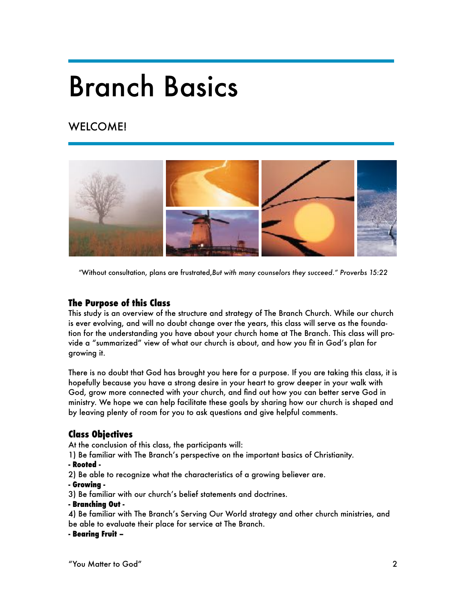# Branch Basics

# WELCOME!



*"*Without consultation, plans are frustrated,*But with many counselors they succeed." Proverbs 15:22* 

# **The Purpose of this Class**

This study is an overview of the structure and strategy of The Branch Church. While our church is ever evolving, and will no doubt change over the years, this class will serve as the foundation for the understanding you have about your church home at The Branch. This class will provide a "summarized" view of what our church is about, and how you fit in God's plan for growing it.

There is no doubt that God has brought you here for a purpose. If you are taking this class, it is hopefully because you have a strong desire in your heart to grow deeper in your walk with God, grow more connected with your church, and find out how you can better serve God in ministry. We hope we can help facilitate these goals by sharing how our church is shaped and by leaving plenty of room for you to ask questions and give helpful comments.

# **Class Objectives**

At the conclusion of this class, the participants will:

1) Be familiar with The Branch's perspective on the important basics of Christianity.

#### **- Rooted -**

2) Be able to recognize what the characteristics of a growing believer are.

#### **- Growing -**

3) Be familiar with our church's belief statements and doctrines.

#### **- Branching Out -**

4) Be familiar with The Branch's Serving Our World strategy and other church ministries, and be able to evaluate their place for service at The Branch.

#### **- Bearing Fruit –**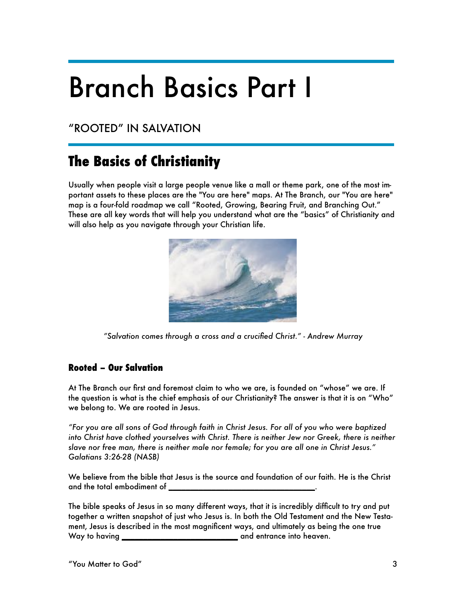# Branch Basics Part I

"ROOTED" IN SALVATION

# **The Basics of Christianity**

Usually when people visit a large people venue like a mall or theme park, one of the most important assets to these places are the "You are here" maps. At The Branch, our "You are here" map is a four-fold roadmap we call "Rooted, Growing, Bearing Fruit, and Branching Out." These are all key words that will help you understand what are the "basics" of Christianity and will also help as you navigate through your Christian life.



*"Salvation comes through a cross and a crucified Christ." - Andrew Murray* 

# **Rooted – Our Salvation**

At The Branch our first and foremost claim to who we are, is founded on "whose" we are. If the question is what is the chief emphasis of our Christianity? The answer is that it is on "Who" we belong to. We are rooted in Jesus.

*"For you are all sons of God through faith in Christ Jesus. For all of you who were baptized into Christ have clothed yourselves with Christ. There is neither Jew nor Greek, there is neither slave nor free man, there is neither male nor female; for you are all one in Christ Jesus." Galatians 3:26-28 (NASB)* 

We believe from the bible that Jesus is the source and foundation of our faith. He is the Christ and the total embodiment of **\_\_\_\_\_\_\_\_\_\_\_\_\_\_\_\_\_\_\_\_\_\_\_\_\_\_\_\_\_\_\_\_\_\_**.

The bible speaks of Jesus in so many different ways, that it is incredibly difficult to try and put together a written snapshot of just who Jesus is. In both the Old Testament and the New Testament, Jesus is described in the most magnificent ways, and ultimately as being the one true Way to having **\_\_\_\_\_\_\_\_\_\_\_\_\_\_\_\_\_\_\_\_\_\_\_\_\_\_\_** and entrance into heaven.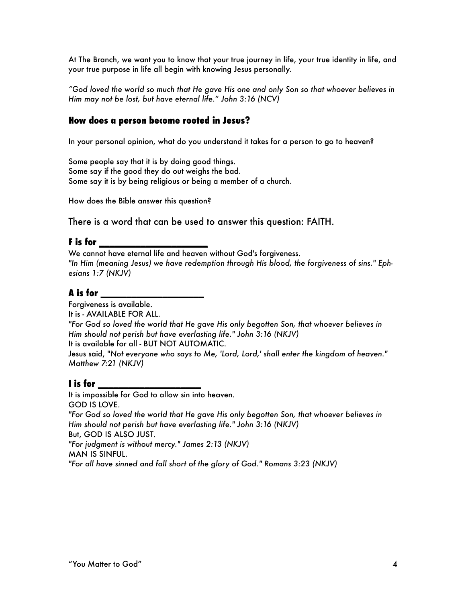At The Branch, we want you to know that your true journey in life, your true identity in life, and your true purpose in life all begin with knowing Jesus personally.

*"God loved the world so much that He gave His one and only Son so that whoever believes in Him may not be lost, but have eternal life." John 3:16 (NCV)*

## **How does a person become rooted in Jesus?**

In your personal opinion, what do you understand it takes for a person to go to heaven?

Some people say that it is by doing good things. Some say if the good they do out weighs the bad. Some say it is by being religious or being a member of a church.

How does the Bible answer this question?

There is a word that can be used to answer this question: FAITH.

#### **F is for \_\_\_\_\_\_\_\_\_\_\_\_\_\_\_\_\_\_\_\_\_**

We cannot have eternal life and heaven without God's forgiveness. *"In Him (meaning Jesus) we have redemption through His blood, the forgiveness of sins." Ephesians 1:7 (NKJV)* 

## **A is for \_\_\_\_\_\_\_\_\_\_\_\_\_\_\_\_\_\_\_\_**

Forgiveness is available. It is - AVAILABLE FOR ALL. *"For God so loved the world that He gave His only begotten Son, that whoever believes in Him should not perish but have everlasting life." John 3:16 (NKJV)*  It is available for all - BUT NOT AUTOMATIC. Jesus said, "*Not everyone who says to Me, 'Lord, Lord,' shall enter the kingdom of heaven." Matthew 7:21 (NKJV)* 

# **I is for \_\_\_\_\_\_\_\_\_\_\_\_\_\_\_\_\_\_\_\_**

It is impossible for God to allow sin into heaven. GOD IS LOVE. *"For God so loved the world that He gave His only begotten Son, that whoever believes in Him should not perish but have everlasting life." John 3:16 (NKJV)*  But, GOD IS ALSO JUST. *"For judgment is without mercy." James 2:13 (NKJV)*  MAN IS SINFUL.

*"For all have sinned and fall short of the glory of God." Romans 3:23 (NKJV)*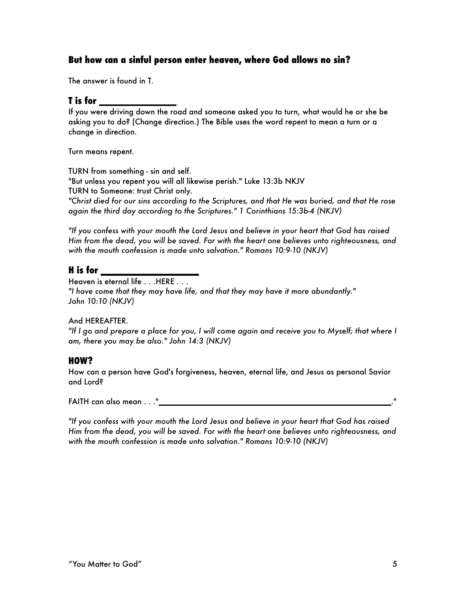## **But how can a sinful person enter heaven, where God allows no sin?**

The answer is found in T.

### **T is for \_\_\_\_\_\_\_\_\_\_\_\_\_\_\_**

If you were driving down the road and someone asked you to turn, what would he or she be asking you to do? (Change direction.) The Bible uses the word repent to mean a turn or a change in direction.

Turn means repent.

TURN from something - sin and self. "But unless you repent you will all likewise perish." Luke 13:3b NKJV TURN to Someone: trust Christ only. *"Christ died for our sins according to the Scriptures, and that He was buried, and that He rose again the third day according to the Scriptures." 1 Corinthians 15:3b-4 (NKJV)* 

*"If you confess with your mouth the Lord Jesus and believe in your heart that God has raised Him from the dead, you will be saved. For with the heart one believes unto righteousness, and*  with the mouth confession is made unto salvation." Romans 10:9-10 (NKJV)

# **H is for \_\_\_\_\_\_\_\_\_\_\_\_\_\_\_\_\_\_\_**

Heaven is eternal life . . . HERE . . .

*"I have come that they may have life, and that they may have it more abundantly." John 10:10 (NKJV)* 

#### And HEREAFTER.

*"If I go and prepare a place for you, I will come again and receive you to Myself; that where I am, there you may be also." John 14:3 (NKJV)* 

## **HOW?**

How can a person have God's forgiveness, heaven, eternal life, and Jesus as personal Savior and Lord?

FAITH can also mean . . ."**\_\_\_\_\_\_\_\_\_\_\_\_\_\_\_\_\_\_\_\_\_\_\_\_\_\_\_\_\_\_\_\_\_\_\_\_\_\_\_\_\_\_\_\_\_\_\_\_\_\_\_\_\_\_**."

*"If you confess with your mouth the Lord Jesus and believe in your heart that God has raised Him from the dead, you will be saved. For with the heart one believes unto righteousness, and with the mouth confession is made unto salvation." Romans 10:9-10 (NKJV)*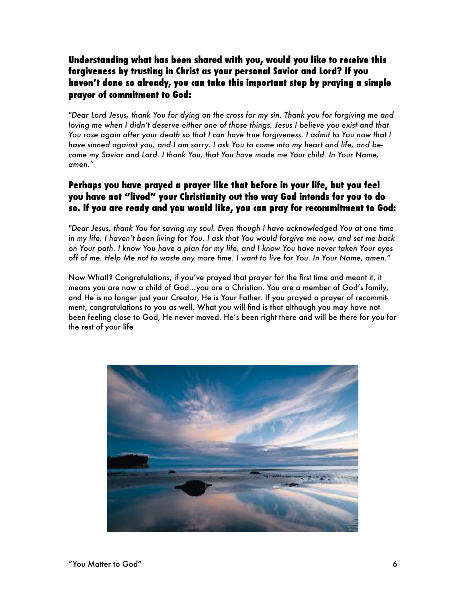# **Understanding what has been shared with you, would you like to receive this forgiveness by trusting in Christ as your personal Savior and Lord? If you haven't done so already, you can take this important step by praying a simple prayer of commitment to God:**

*"Dear Lord Jesus, thank You for dying on the cross for my sin. Thank you for forgiving me and loving me when I didn't deserve either one of those things. Jesus I believe you exist and that You rose again after your death so that I can have true forgiveness. I admit to You now that I have sinned against you, and I am sorry. I ask You to come into my heart and life, and become my Savior and Lord. I thank You, that You have made me Your child. In Your Name, amen."* 

# **Perhaps you have prayed a prayer like that before in your life, but you feel you have not "lived" your Christianity out the way God intends for you to do so. If you are ready and you would like, you can pray for recommitment to God:**

*"Dear Jesus, thank You for saving my soul. Even though I have acknowledged You at one time in my life, I haven't been living for You. I ask that You would forgive me now, and set me back on Your path. I know You have a plan for my life, and I know You have never taken Your eyes off of me. Help Me not to waste any more time. I want to live for You. In Your Name, amen."* 

Now What!? Congratulations, if you've prayed that prayer for the first time and meant it, it means you are now a child of God…you are a Christian. You are a member of God's family, and He is no longer just your Creator, He is Your Father. If you prayed a prayer of recommitment, congratulations to you as well. What you will find is that although you may have not been feeling close to God, He never moved. He's been right there and will be there for you for the rest of your life

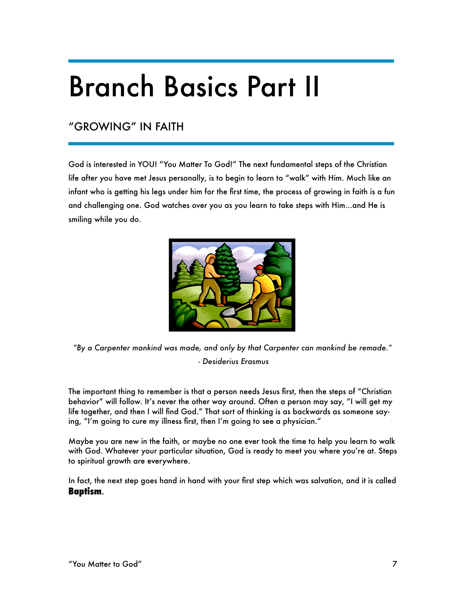# Branch Basics Part II

# "GROWING" IN FAITH

God is interested in YOU! "You Matter To God!" The next fundamental steps of the Christian life after you have met Jesus personally, is to begin to learn to "walk" with Him. Much like an infant who is getting his legs under him for the first time, the process of growing in faith is a fun and challenging one. God watches over you as you learn to take steps with Him…and He is smiling while you do.



*"By a Carpenter mankind was made, and only by that Carpenter can mankind be remade." - Desiderius Erasmus* 

The important thing to remember is that a person needs Jesus first, then the steps of "Christian behavior" will follow. It's never the other way around. Often a person may say, "I will get my life together, and then I will find God." That sort of thinking is as backwards as someone saying, "I'm going to cure my illness first, then I'm going to see a physician."

Maybe you are new in the faith, or maybe no one ever took the time to help you learn to walk with God. Whatever your particular situation, God is ready to meet you where you're at. Steps to spiritual growth are everywhere.

In fact, the next step goes hand in hand with your first step which was salvation, and it is called **Baptism**.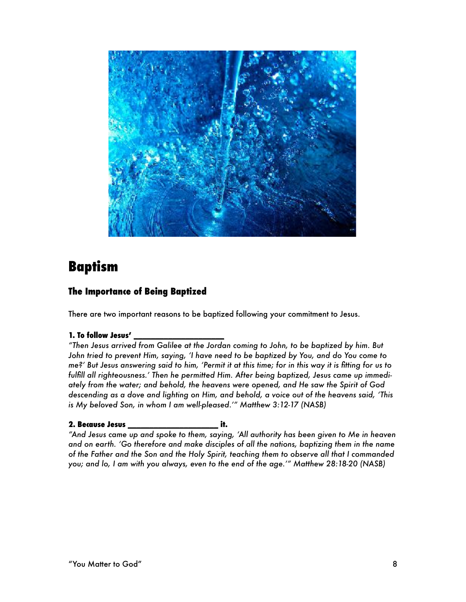

# **Baptism**

# **The Importance of Being Baptized**

There are two important reasons to be baptized following your commitment to Jesus.

#### **1. To follow Jesus' \_\_\_\_\_\_\_\_\_\_\_\_\_\_\_\_\_\_\_\_\_**

*"Then Jesus arrived from Galilee at the Jordan coming to John, to be baptized by him. But John tried to prevent Him, saying, 'I have need to be baptized by You, and do You come to me?' But Jesus answering said to him, 'Permit it at this time; for in this way it is fitting for us to fulfill all righteousness.' Then he permitted Him. After being baptized, Jesus came up immediately from the water; and behold, the heavens were opened, and He saw the Spirit of God descending as a dove and lighting on Him, and behold, a voice out of the heavens said, 'This is My beloved Son, in whom I am well-pleased.'" Matthew 3:12-17 (NASB)* 

#### **2. Because Jesus \_\_\_\_\_\_\_\_\_\_\_\_\_\_\_\_\_\_\_\_\_ it.**

*"And Jesus came up and spoke to them, saying, 'All authority has been given to Me in heaven and on earth. 'Go therefore and make disciples of all the nations, baptizing them in the name of the Father and the Son and the Holy Spirit, teaching them to observe all that I commanded you; and lo, I am with you always, even to the end of the age.'" Matthew 28:18-20 (NASB)*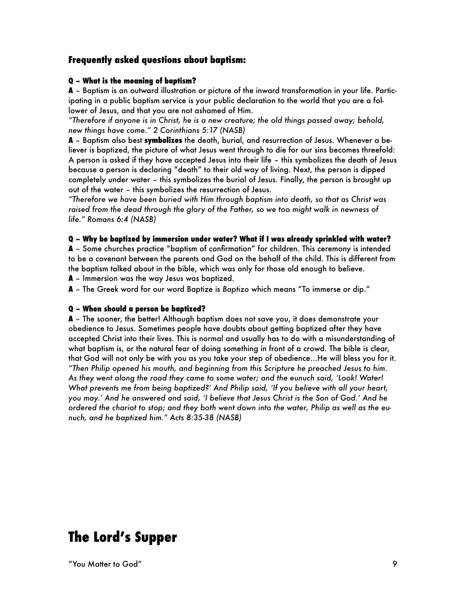## **Frequently asked questions about baptism:**

#### **Q – What is the meaning of baptism?**

**A** – Baptism is an outward illustration or picture of the inward transformation in your life. Participating in a public baptism service is your public declaration to the world that you are a follower of Jesus, and that you are not ashamed of Him.

*"Therefore if anyone is in Christ, he is a new creature; the old things passed away; behold, new things have come." 2 Corinthians 5:17 (NASB)* 

**A** – Baptism also best **symbolizes** the death, burial, and resurrection of Jesus. Whenever a believer is baptized, the picture of what Jesus went through to die for our sins becomes threefold: A person is asked if they have accepted Jesus into their life – this symbolizes the death of Jesus because a person is declaring "death" to their old way of living. Next, the person is dipped completely under water – this symbolizes the burial of Jesus. Finally, the person is brought up out of the water – this symbolizes the resurrection of Jesus.

*"Therefore we have been buried with Him through baptism into death, so that as Christ was raised from the dead through the glory of the Father, so we too might walk in newness of life." Romans 6:4 (NASB)* 

#### **Q – Why be baptized by immersion under water? What if I was already sprinkled with water?**

**A** – Some churches practice "baptism of confirmation" for children. This ceremony is intended to be a covenant between the parents and God on the behalf of the child. This is different from the baptism talked about in the bible, which was only for those old enough to believe.

**A** – Immersion was the way Jesus was baptized.

**A** – The Greek word for our word Baptize is *Baptizo* which means "To immerse or dip."

#### **Q – When should a person be baptized?**

**A** – The sooner, the better! Although baptism does not save you, it does demonstrate your obedience to Jesus. Sometimes people have doubts about getting baptized after they have accepted Christ into their lives. This is normal and usually has to do with a misunderstanding of what baptism is, or the natural fear of doing something in front of a crowd. The bible is clear, that God will not only be with you as you take your step of obedience…He will bless you for it. *"Then Philip opened his mouth, and beginning from this Scripture he preached Jesus to him. As they went along the road they came to some water; and the eunuch said, 'Look! Water! What prevents me from being baptized?' And Philip said, 'If you believe with all your heart, you may.' And he answered and said, 'I believe that Jesus Christ is the Son of God.' And he ordered the chariot to stop; and they both went down into the water, Philip as well as the eunuch, and he baptized him." Acts 8:35-38 (NASB)* 

# **The Lord's Supper**

"You Matter to God" 9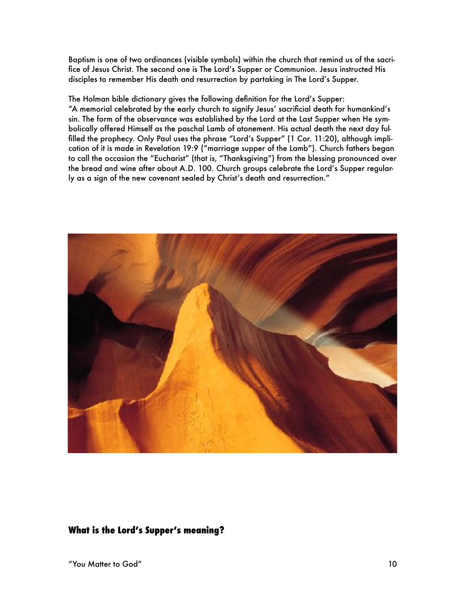Baptism is one of two ordinances (visible symbols) within the church that remind us of the sacrifice of Jesus Christ. The second one is The Lord's Supper or Communion. Jesus instructed His disciples to remember His death and resurrection by partaking in The Lord's Supper.

The Holman bible dictionary gives the following definition for the Lord's Supper: "A memorial celebrated by the early church to signify Jesus' sacrificial death for humankind's sin. The form of the observance was established by the Lord at the Last Supper when He symbolically offered Himself as the paschal Lamb of atonement. His actual death the next day fulfilled the prophecy. Only Paul uses the phrase "Lord's Supper" (1 Cor. 11:20), although implication of it is made in Revelation 19:9 ("marriage supper of the Lamb"). Church fathers began to call the occasion the "Eucharist" (that is, "Thanksgiving") from the blessing pronounced over the bread and wine after about A.D. 100. Church groups celebrate the Lord's Supper regularly as a sign of the new covenant sealed by Christ's death and resurrection."



# **What is the Lord's Supper's meaning?**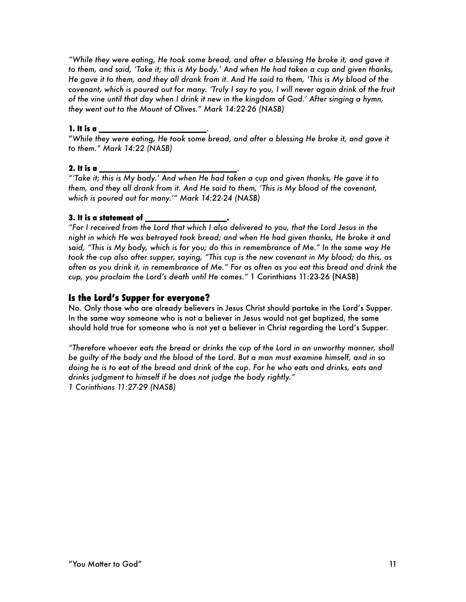*"While they were eating, He took some bread, and after a blessing He broke it, and gave it to them, and said, 'Take it; this is My body.' And when He had taken a cup and given thanks, He gave it to them, and they all drank from it. And He said to them, 'This is My blood of the covenant, which is poured out for many. 'Truly I say to you, I will never again drink of the fruit of the vine until that day when I drink it new in the kingdom of God.' After singing a hymn, they went out to the Mount of Olives." Mark 14:22-26 (NASB)* 

#### **1. It is a \_\_\_\_\_\_\_\_\_\_\_\_\_\_\_\_\_\_\_\_\_\_\_\_\_**.

"*While they were eating, He took some bread, and after a blessing He broke it, and gave it to them." Mark 14:22 (NASB)* 

#### **2. It is a \_\_\_\_\_\_\_\_\_\_\_\_\_\_\_\_\_\_\_\_\_\_\_\_\_\_\_\_\_\_\_\_**.

*"'Take it; this is My body.' And when He had taken a cup and given thanks, He gave it to them, and they all drank from it. And He said to them, 'This is My blood of the covenant, which is poured out for many.'" Mark 14:22-24 (NASB)* 

#### **3. It is a statement of \_\_\_\_\_\_\_\_\_\_\_\_\_\_\_\_\_\_\_.**

*"For I received from the Lord that which I also delivered to you, that the Lord Jesus in the night in which He was betrayed took bread; and when He had given thanks, He broke it and said, "This is My body, which is for you; do this in remembrance of Me." In the same way He took the cup also after supper, saying, "This cup is the new covenant in My blood; do this, as often as you drink it, in remembrance of Me." For as often as you eat this bread and drink the cup, you proclaim the Lord's death until He comes."* 1 Corinthians 11:23-26 (NASB)

## **Is the Lord's Supper for everyone?**

No. Only those who are already believers in Jesus Christ should partake in the Lord's Supper. In the same way someone who is not a believer in Jesus would not get baptized, the same should hold true for someone who is not yet a believer in Christ regarding the Lord's Supper.

*"Therefore whoever eats the bread or drinks the cup of the Lord in an unworthy manner, shall be guilty of the body and the blood of the Lord. But a man must examine himself, and in so doing he is to eat of the bread and drink of the cup. For he who eats and drinks, eats and drinks judgment to himself if he does not judge the body rightly." 1 Corinthians 11:27-29 (NASB)*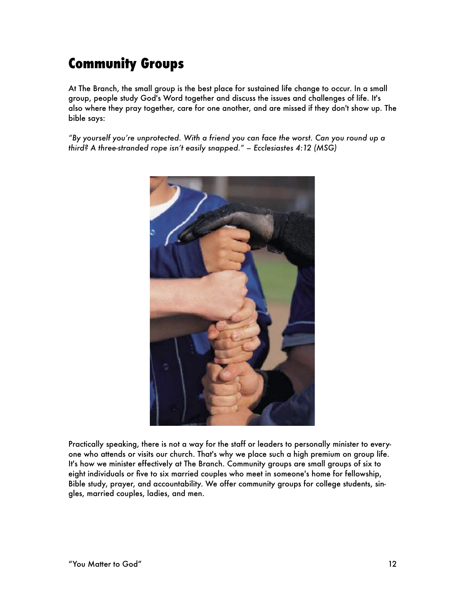# **Community Groups**

At The Branch, the small group is the best place for sustained life change to occur. In a small group, people study God's Word together and discuss the issues and challenges of life. It's also where they pray together, care for one another, and are missed if they don't show up. The bible says:

*"By yourself you're unprotected. With a friend you can face the worst. Can you round up a third? A three-stranded rope isn't easily snapped." – Ecclesiastes 4:12 (MSG)* 



Practically speaking, there is not a way for the staff or leaders to personally minister to everyone who attends or visits our church. That's why we place such a high premium on group life. It's how we minister effectively at The Branch. Community groups are small groups of six to eight individuals or five to six married couples who meet in someone's home for fellowship, Bible study, prayer, and accountability. We offer community groups for college students, singles, married couples, ladies, and men.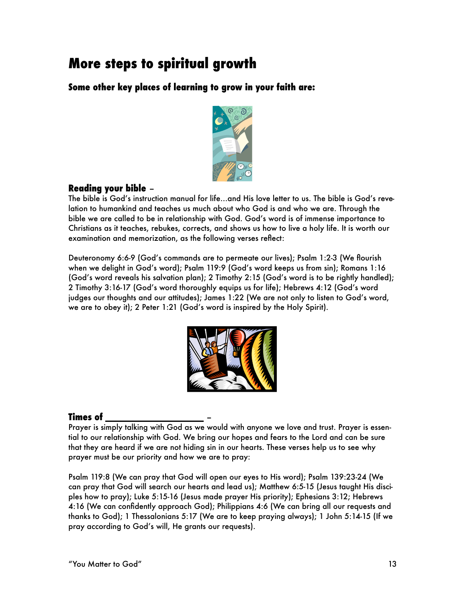# **More steps to spiritual growth**

**Some other key places of learning to grow in your faith are:**



# **Reading your bible** –

The bible is God's instruction manual for life…and His love letter to us. The bible is God's revelation to humankind and teaches us much about who God is and who we are. Through the bible we are called to be in relationship with God. God's word is of immense importance to Christians as it teaches, rebukes, corrects, and shows us how to live a holy life. It is worth our examination and memorization, as the following verses reflect:

Deuteronomy 6:6-9 (God's commands are to permeate our lives); Psalm 1:2-3 (We flourish when we delight in God's word); Psalm 119:9 (God's word keeps us from sin); Romans 1:16 (God's word reveals his salvation plan); 2 Timothy 2:15 (God's word is to be rightly handled); 2 Timothy 3:16-17 (God's word thoroughly equips us for life); Hebrews 4:12 (God's word judges our thoughts and our attitudes); James 1:22 (We are not only to listen to God's word, we are to obey it); 2 Peter 1:21 (God's word is inspired by the Holy Spirit).



# **Times of \_\_\_\_\_\_\_\_\_\_\_\_\_\_\_\_\_\_\_** –

Prayer is simply talking with God as we would with anyone we love and trust. Prayer is essential to our relationship with God. We bring our hopes and fears to the Lord and can be sure that they are heard if we are not hiding sin in our hearts. These verses help us to see why prayer must be our priority and how we are to pray:

Psalm 119:8 (We can pray that God will open our eyes to His word); Psalm 139:23-24 (We can pray that God will search our hearts and lead us); Matthew 6:5-15 (Jesus taught His disciples how to pray); Luke 5:15-16 (Jesus made prayer His priority); Ephesians 3:12; Hebrews 4:16 (We can confidently approach God); Philippians 4:6 (We can bring all our requests and thanks to God); 1 Thessalonians 5:17 (We are to keep praying always); 1 John 5:14-15 (If we pray according to God's will, He grants our requests).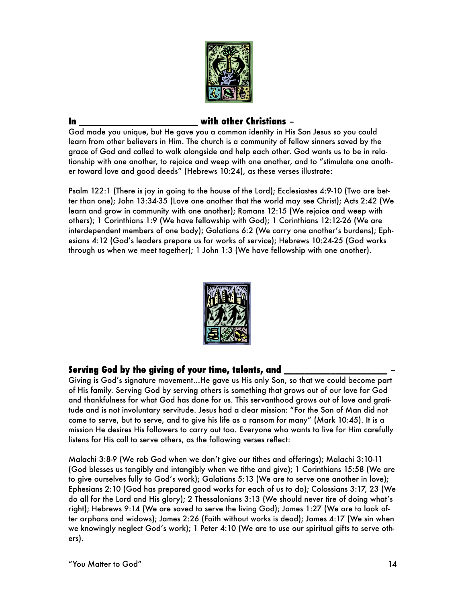

### **In \_\_\_\_\_\_\_\_\_\_\_\_\_\_\_\_\_\_\_\_\_\_\_ with other Christians** –

God made you unique, but He gave you a common identity in His Son Jesus so you could learn from other believers in Him. The church is a community of fellow sinners saved by the grace of God and called to walk alongside and help each other. God wants us to be in relationship with one another, to rejoice and weep with one another, and to "stimulate one another toward love and good deeds" (Hebrews 10:24), as these verses illustrate:

Psalm 122:1 (There is joy in going to the house of the Lord); Ecclesiastes 4:9-10 (Two are better than one); John 13:34-35 (Love one another that the world may see Christ); Acts 2:42 (We learn and grow in community with one another); Romans 12:15 (We rejoice and weep with others); 1 Corinthians 1:9 (We have fellowship with God); 1 Corinthians 12:12-26 (We are interdependent members of one body); Galatians 6:2 (We carry one another's burdens); Ephesians 4:12 (God's leaders prepare us for works of service); Hebrews 10:24-25 (God works through us when we meet together); 1 John 1:3 (We have fellowship with one another).



## **Serving God by the giving of your time, talents, and \_\_\_\_\_\_\_\_\_\_\_\_\_\_\_\_\_\_\_\_** –

Giving is God's signature movement…He gave us His only Son, so that we could become part of His family. Serving God by serving others is something that grows out of our love for God and thankfulness for what God has done for us. This servanthood grows out of love and gratitude and is not involuntary servitude. Jesus had a clear mission: "For the Son of Man did not come to serve, but to serve, and to give his life as a ransom for many" (Mark 10:45). It is a mission He desires His followers to carry out too. Everyone who wants to live for Him carefully listens for His call to serve others, as the following verses reflect:

Malachi 3:8-9 (We rob God when we don't give our tithes and offerings); Malachi 3:10-11 (God blesses us tangibly and intangibly when we tithe and give); 1 Corinthians 15:58 (We are to give ourselves fully to God's work); Galatians 5:13 (We are to serve one another in love); Ephesians 2:10 (God has prepared good works for each of us to do); Colossians 3:17, 23 (We do all for the Lord and His glory); 2 Thessalonians 3:13 (We should never tire of doing what's right); Hebrews 9:14 (We are saved to serve the living God); James 1:27 (We are to look after orphans and widows); James 2:26 (Faith without works is dead); James 4:17 (We sin when we knowingly neglect God's work); 1 Peter 4:10 (We are to use our spiritual gifts to serve others).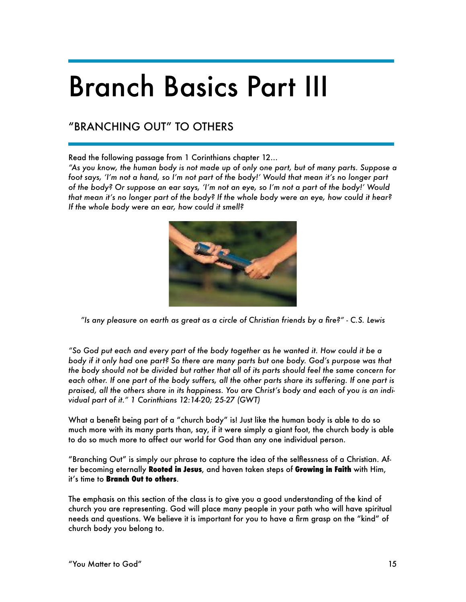# Branch Basics Part III

# "BRANCHING OUT" TO OTHERS

Read the following passage from 1 Corinthians chapter 12…

*"As you know, the human body is not made up of only one part, but of many parts. Suppose a foot says, 'I'm not a hand, so I'm not part of the body!' Would that mean it's no longer part of the body? Or suppose an ear says, 'I'm not an eye, so I'm not a part of the body!' Would that mean it's no longer part of the body? If the whole body were an eye, how could it hear? If the whole body were an ear, how could it smell?*



*"Is any pleasure on earth as great as a circle of Christian friends by a fire?" - C.S. Lewis* 

*"So God put each and every part of the body together as he wanted it. How could it be a body if it only had one part? So there are many parts but one body. God's purpose was that the body should not be divided but rather that all of its parts should feel the same concern for*  each other. If one part of the body suffers, all the other parts share its suffering. If one part is *praised, all the others share in its happiness. You are Christ's body and each of you is an individual part of it." 1 Corinthians 12:14-20; 25-27 (GWT)* 

What a benefit being part of a "church body" is! Just like the human body is able to do so much more with its many parts than, say, if it were simply a giant foot, the church body is able to do so much more to affect our world for God than any one individual person.

"Branching Out" is simply our phrase to capture the idea of the selflessness of a Christian. After becoming eternally **Rooted in Jesus**, and haven taken steps of **Growing in Faith** with Him, it's time to **Branch Out to others**.

The emphasis on this section of the class is to give you a good understanding of the kind of church you are representing. God will place many people in your path who will have spiritual needs and questions. We believe it is important for you to have a firm grasp on the "kind" of church body you belong to.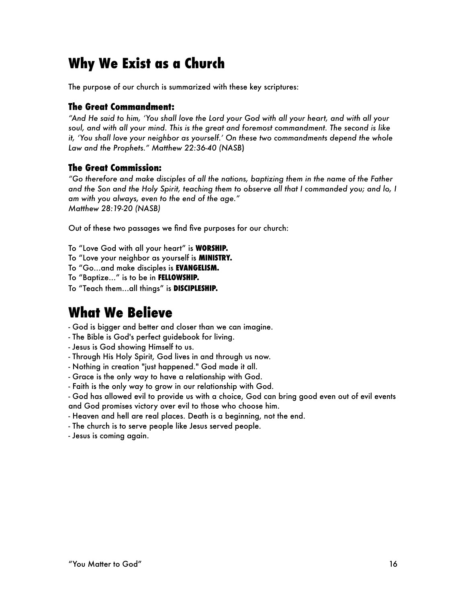# **Why We Exist as a Church**

The purpose of our church is summarized with these key scriptures:

# **The Great Commandment:**

*"And He said to him, 'You shall love the Lord your God with all your heart, and with all your soul, and with all your mind. This is the great and foremost commandment. The second is like it, 'You shall love your neighbor as yourself.' On these two commandments depend the whole Law and the Prophets." Matthew 22:36-40 (NASB*)

# **The Great Commission:**

*"Go therefore and make disciples of all the nations, baptizing them in the name of the Father and the Son and the Holy Spirit, teaching them to observe all that I commanded you; and lo, I am with you always, even to the end of the age." Matthew 28:19-20 (NASB)* 

Out of these two passages we find five purposes for our church:

To "Love God with all your heart" is **WORSHIP.** 

- To "Love your neighbor as yourself is **MINISTRY.**
- To "Go…and make disciples is **EVANGELISM.**

To "Baptize…" is to be in **FELLOWSHIP.** 

To "Teach them…all things" is **DISCIPLESHIP.** 

# **What We Believe**

- God is bigger and better and closer than we can imagine.
- The Bible is God's perfect guidebook for living.
- Jesus is God showing Himself to us.
- Through His Holy Spirit, God lives in and through us now.
- Nothing in creation "just happened." God made it all.
- Grace is the only way to have a relationship with God.
- Faith is the only way to grow in our relationship with God.
- God has allowed evil to provide us with a choice, God can bring good even out of evil events and God promises victory over evil to those who choose him.
- Heaven and hell are real places. Death is a beginning, not the end.
- The church is to serve people like Jesus served people.
- Jesus is coming again.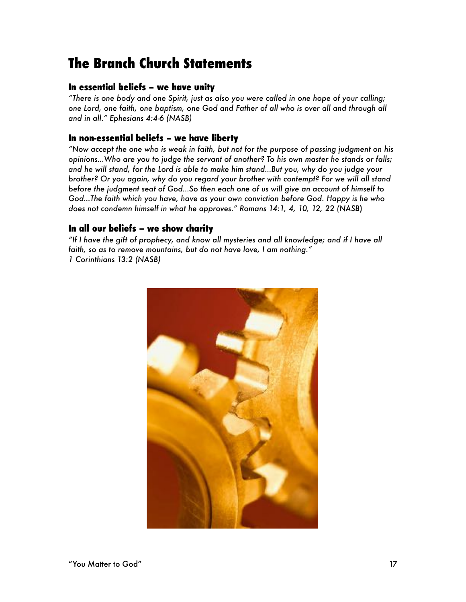# **The Branch Church Statements**

# **In essential beliefs – we have unity**

*"There is one body and one Spirit, just as also you were called in one hope of your calling; one Lord, one faith, one baptism, one God and Father of all who is over all and through all and in all." Ephesians 4:4-6 (NASB)* 

# **In non-essential beliefs – we have liberty**

*"Now accept the one who is weak in faith, but not for the purpose of passing judgment on his opinions…Who are you to judge the servant of another? To his own master he stands or falls; and he will stand, for the Lord is able to make him stand…But you, why do you judge your brother? Or you again, why do you regard your brother with contempt? For we will all stand before the judgment seat of God…So then each one of us will give an account of himself to God…The faith which you have, have as your own conviction before God. Happy is he who does not condemn himself in what he approves." Romans 14:1, 4, 10, 12, 22 (NASB*)

# **In all our beliefs – we show charity**

*"If I have the gift of prophecy, and know all mysteries and all knowledge; and if I have all faith, so as to remove mountains, but do not have love, I am nothing." 1 Corinthians 13:2 (NASB)* 

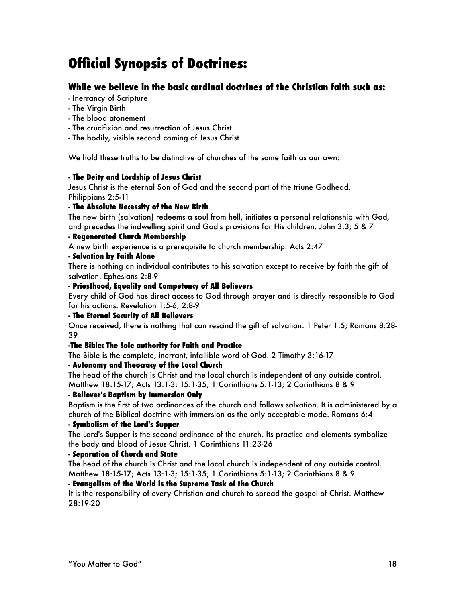# **Official Synopsis of Doctrines:**

# **While we believe in the basic cardinal doctrines of the Christian faith such as:**

- Inerrancy of Scripture
- The Virgin Birth
- The blood atonement
- The crucifixion and resurrection of Jesus Christ
- The bodily, visible second coming of Jesus Christ

We hold these truths to be distinctive of churches of the same faith as our own:

#### **- The Deity and Lordship of Jesus Christ**

Jesus Christ is the eternal Son of God and the second part of the triune Godhead. Philippians 2:5-11

#### **- The Absolute Necessity of the New Birth**

The new birth (salvation) redeems a soul from hell, initiates a personal relationship with God, and precedes the indwelling spirit and God's provisions for His children. John 3:3; 5 & 7

#### **- Regenerated Church Membership**

A new birth experience is a prerequisite to church membership. Acts 2:47

#### **- Salvation by Faith Alone**

There is nothing an individual contributes to his salvation except to receive by faith the gift of salvation. Ephesians 2:8-9

#### **- Priesthood, Equality and Competency of All Believers**

Every child of God has direct access to God through prayer and is directly responsible to God for his actions. Revelation 1:5-6; 2:8-9

#### **- The Eternal Security of All Believers**

Once received, there is nothing that can rescind the gift of salvation. 1 Peter 1:5; Romans 8:28- 39

#### **-The Bible: The Sole authority for Faith and Practice**

The Bible is the complete, inerrant, infallible word of God. 2 Timothy 3:16-17

#### **- Autonomy and Theocracy of the Local Church**

The head of the church is Christ and the local church is independent of any outside control. Matthew 18:15-17; Acts 13:1-3; 15:1-35; 1 Corinthians 5:1-13; 2 Corinthians 8 & 9

#### **- Believer's Baptism by Immersion Only**

Baptism is the first of two ordinances of the church and follows salvation. It is administered by a church of the Biblical doctrine with immersion as the only acceptable mode. Romans 6:4

#### **- Symbolism of the Lord's Supper**

The Lord's Supper is the second ordinance of the church. Its practice and elements symbolize the body and blood of Jesus Christ. 1 Corinthians 11:23-26

#### **- Separation of Church and State**

The head of the church is Christ and the local church is independent of any outside control. Matthew 18:15-17; Acts 13:1-3; 15:1-35; 1 Corinthians 5:1-13; 2 Corinthians 8 & 9

#### **- Evangelism of the World is the Supreme Task of the Church**

It is the responsibility of every Christian and church to spread the gospel of Christ. Matthew 28:19-20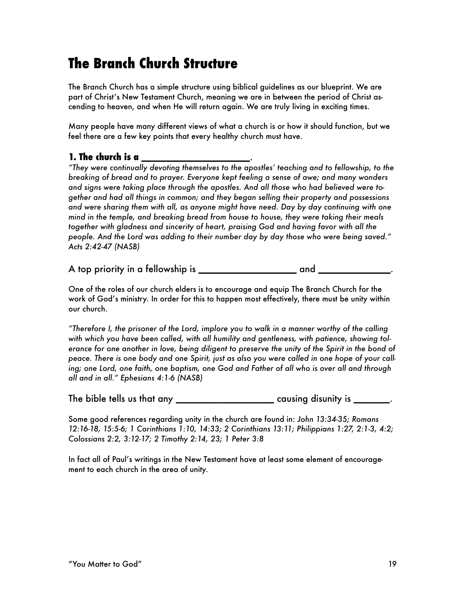# **The Branch Church Structure**

The Branch Church has a simple structure using biblical guidelines as our blueprint. We are part of Christ's New Testament Church, meaning we are in between the period of Christ ascending to heaven, and when He will return again. We are truly living in exciting times.

Many people have many different views of what a church is or how it should function, but we feel there are a few key points that every healthy church must have.

# **1. The church is a \_\_\_\_\_\_\_\_\_\_\_\_\_\_\_\_\_\_\_\_\_**.

*"They were continually devoting themselves to the apostles' teaching and to fellowship, to the breaking of bread and to prayer. Everyone kept feeling a sense of awe; and many wonders and signs were taking place through the apostles. And all those who had believed were together and had all things in common; and they began selling their property and possessions and were sharing them with all, as anyone might have need. Day by day continuing with one mind in the temple, and breaking bread from house to house, they were taking their meals together with gladness and sincerity of heart, praising God and having favor with all the people. And the Lord was adding to their number day by day those who were being saved." Acts 2:42-47 (NASB)* 

A top priority in a fellowship is **\_\_\_\_\_\_\_\_\_\_\_\_\_\_\_\_\_\_\_** and **\_\_\_\_\_\_\_\_\_\_\_\_\_\_**.

One of the roles of our church elders is to encourage and equip The Branch Church for the work of God's ministry. In order for this to happen most effectively, there must be unity within our church.

*"Therefore I, the prisoner of the Lord, implore you to walk in a manner worthy of the calling with which you have been called, with all humility and gentleness, with patience, showing tol*erance for one another in love, being diligent to preserve the unity of the Spirit in the bond of *peace. There is one body and one Spirit, just as also you were called in one hope of your calling; one Lord, one faith, one baptism, one God and Father of all who is over all and through all and in all." Ephesians 4:1-6 (NASB)* 

The bible tells us that any **\_\_\_\_\_\_\_\_\_\_\_\_\_\_\_\_\_\_\_** causing disunity is **\_\_\_\_\_\_\_**.

Some good references regarding unity in the church are found in: *John 13:34-35; Romans 12:16-18, 15:5-6; 1 Corinthians 1:10, 14:33; 2 Corinthians 13:11; Philippians 1:27, 2:1-3, 4:2; Colossians 2:2, 3:12-17; 2 Timothy 2:14, 23; 1 Peter 3:8* 

In fact all of Paul's writings in the New Testament have at least some element of encouragement to each church in the area of unity.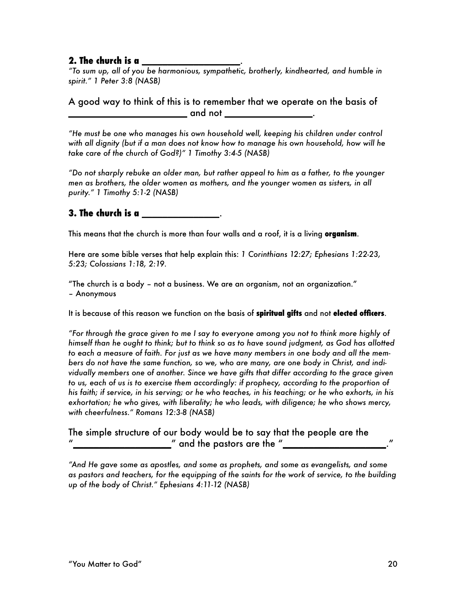## **2. The church is a \_\_\_\_\_\_\_\_\_\_\_\_\_\_\_\_\_\_\_**.

*"To sum up, all of you be harmonious, sympathetic, brotherly, kindhearted, and humble in spirit." 1 Peter 3:8 (NASB)* 

## A good way to think of this is to remember that we operate on the basis of **\_\_\_\_\_\_\_\_\_\_\_\_\_\_\_\_\_\_\_\_\_\_\_** and not **\_\_\_\_\_\_\_\_\_\_\_\_\_\_\_\_\_**.

*"He must be one who manages his own household well, keeping his children under control with all dignity (but if a man does not know how to manage his own household, how will he take care of the church of God?)" 1 Timothy 3:4-5 (NASB)* 

*"Do not sharply rebuke an older man, but rather appeal to him as a father, to the younger men as brothers, the older women as mothers, and the younger women as sisters, in all purity." 1 Timothy 5:1-2 (NASB)* 

# **3. The church is a \_\_\_\_\_\_\_\_\_\_\_\_\_\_\_**.

This means that the church is more than four walls and a roof, it is a living **organism**.

Here are some bible verses that help explain this: *1 Corinthians 12:27; Ephesians 1:22-23, 5:23; Colossians 1:18, 2:19.* 

"The church is a body – not a business. We are an organism, not an organization." – Anonymous

It is because of this reason we function on the basis of **spiritual gifts** and not **elected officers**.

*"For through the grace given to me I say to everyone among you not to think more highly of himself than he ought to think; but to think so as to have sound judgment, as God has allotted to each a measure of faith. For just as we have many members in one body and all the members do not have the same function, so we, who are many, are one body in Christ, and individually members one of another. Since we have gifts that differ according to the grace given*  to us, each of us is to exercise them accordingly: if prophecy, according to the proportion of *his faith; if service, in his serving; or he who teaches, in his teaching; or he who exhorts, in his exhortation; he who gives, with liberality; he who leads, with diligence; he who shows mercy, with cheerfulness." Romans 12:3-8 (NASB)* 

The simple structure of our body would be to say that the people are the **z** and the pastors are the "

*"And He gave some as apostles, and some as prophets, and some as evangelists, and some as pastors and teachers, for the equipping of the saints for the work of service, to the building up of the body of Christ." Ephesians 4:11-12 (NASB)*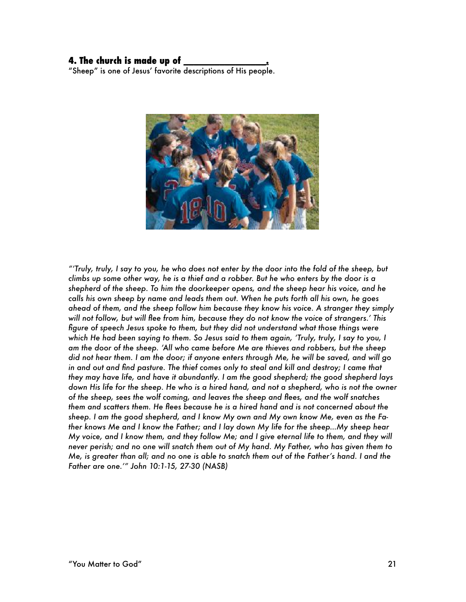#### **4. The church is made up of \_\_\_\_\_\_\_\_\_\_\_\_\_\_\_\_.**

"Sheep" is one of Jesus' favorite descriptions of His people.



*"'Truly, truly, I say to you, he who does not enter by the door into the fold of the sheep, but climbs up some other way, he is a thief and a robber. But he who enters by the door is a shepherd of the sheep. To him the doorkeeper opens, and the sheep hear his voice, and he calls his own sheep by name and leads them out. When he puts forth all his own, he goes ahead of them, and the sheep follow him because they know his voice. A stranger they simply will not follow, but will flee from him, because they do not know the voice of strangers.' This figure of speech Jesus spoke to them, but they did not understand what those things were which He had been saying to them. So Jesus said to them again, 'Truly, truly, I say to you, I am the door of the sheep. 'All who came before Me are thieves and robbers, but the sheep did not hear them. I am the door; if anyone enters through Me, he will be saved, and will go in and out and find pasture. The thief comes only to steal and kill and destroy; I came that they may have life, and have it abundantly. I am the good shepherd; the good shepherd lays down His life for the sheep. He who is a hired hand, and not a shepherd, who is not the owner of the sheep, sees the wolf coming, and leaves the sheep and flees, and the wolf snatches them and scatters them. He flees because he is a hired hand and is not concerned about the sheep. I am the good shepherd, and I know My own and My own know Me, even as the Father knows Me and I know the Father; and I lay down My life for the sheep…My sheep hear My voice, and I know them, and they follow Me; and I give eternal life to them, and they will never perish; and no one will snatch them out of My hand. My Father, who has given them to Me, is greater than all; and no one is able to snatch them out of the Father's hand. I and the Father are one.'" John 10:1-15, 27-30 (NASB)*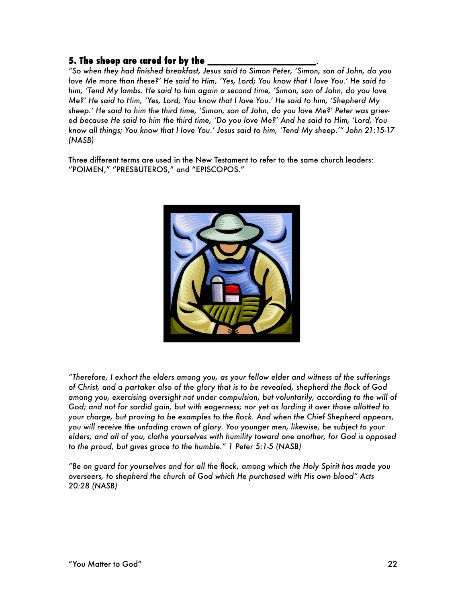## **5. The sheep are cared for by the \_\_\_\_\_\_\_\_\_\_\_\_\_\_\_\_\_\_\_\_\_**.

*"So when they had finished breakfast, Jesus said to Simon Peter, 'Simon, son of John, do you love Me more than these?' He said to Him, 'Yes, Lord; You know that I love You.' He said to him, 'Tend My lambs. He said to him again a second time, 'Simon, son of John, do you love Me?' He said to Him, 'Yes, Lord; You know that I love You.' He said to him, 'Shepherd My sheep.' He said to him the third time, 'Simon, son of John, do you love Me?' Peter was grieved because He said to him the third time, 'Do you love Me?' And he said to Him, 'Lord, You know all things; You know that I love You.' Jesus said to him, 'Tend My sheep.'" John 21:15-17 (NASB)* 

Three different terms are used in the New Testament to refer to the same church leaders: "POIMEN," "PRESBUTEROS," and "EPISCOPOS."



*"Therefore, I exhort the elders among you, as your fellow elder and witness of the sufferings of Christ, and a partaker also of the glory that is to be revealed, shepherd the flock of God among you, exercising oversight not under compulsion, but voluntarily, according to the will of God; and not for sordid gain, but with eagerness; nor yet as lording it over those allotted to your charge, but proving to be examples to the flock. And when the Chief Shepherd appears, you will receive the unfading crown of glory. You younger men, likewise, be subject to your elders; and all of you, clothe yourselves with humility toward one another, for God is opposed to the proud, but gives grace to the humble." 1 Peter 5:1-5 (NASB)* 

*"Be on guard for yourselves and for all the flock, among which the Holy Spirit has made you overseers, to shepherd the church of God which He purchased with His own blood" Acts 20:28 (NASB)*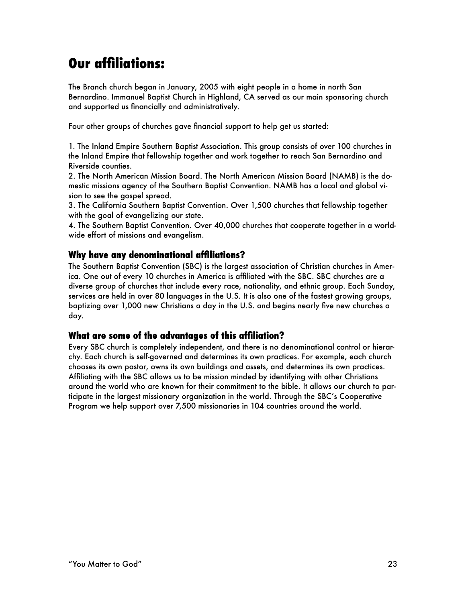# **Our affiliations:**

The Branch church began in January, 2005 with eight people in a home in north San Bernardino. Immanuel Baptist Church in Highland, CA served as our main sponsoring church and supported us financially and administratively.

Four other groups of churches gave financial support to help get us started:

1. The Inland Empire Southern Baptist Association. This group consists of over 100 churches in the Inland Empire that fellowship together and work together to reach San Bernardino and Riverside counties.

2. The North American Mission Board. The North American Mission Board (NAMB) is the domestic missions agency of the Southern Baptist Convention. NAMB has a local and global vision to see the gospel spread.

3. The California Southern Baptist Convention. Over 1,500 churches that fellowship together with the goal of evangelizing our state.

4. The Southern Baptist Convention. Over 40,000 churches that cooperate together in a worldwide effort of missions and evangelism.

# **Why have any denominational affiliations?**

The Southern Baptist Convention (SBC) is the largest association of Christian churches in America. One out of every 10 churches in America is affiliated with the SBC. SBC churches are a diverse group of churches that include every race, nationality, and ethnic group. Each Sunday, services are held in over 80 languages in the U.S. It is also one of the fastest growing groups, baptizing over 1,000 new Christians a day in the U.S. and begins nearly five new churches a day.

## **What are some of the advantages of this affiliation?**

Every SBC church is completely independent, and there is no denominational control or hierarchy. Each church is self-governed and determines its own practices. For example, each church chooses its own pastor, owns its own buildings and assets, and determines its own practices. Affiliating with the SBC allows us to be mission minded by identifying with other Christians around the world who are known for their commitment to the bible. It allows our church to participate in the largest missionary organization in the world. Through the SBC's Cooperative Program we help support over 7,500 missionaries in 104 countries around the world.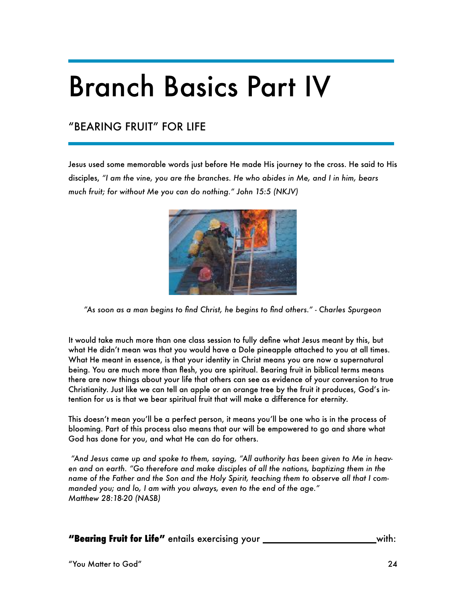# Branch Basics Part IV

# "BEARING FRUIT" FOR LIFE

Jesus used some memorable words just before He made His journey to the cross. He said to His disciples, *"I am the vine, you are the branches. He who abides in Me, and I in him, bears much fruit; for without Me you can do nothing." John 15:5 (NKJV)*



*"As soon as a man begins to find Christ, he begins to find others." - Charles Spurgeon* 

It would take much more than one class session to fully define what Jesus meant by this, but what He didn't mean was that you would have a Dole pineapple attached to you at all times. What He meant in essence, is that your identity in Christ means you are now a supernatural being. You are much more than flesh, you are spiritual. Bearing fruit in biblical terms means there are now things about your life that others can see as evidence of your conversion to true Christianity. Just like we can tell an apple or an orange tree by the fruit it produces, God's intention for us is that we bear spiritual fruit that will make a difference for eternity.

This doesn't mean you'll be a perfect person, it means you'll be one who is in the process of blooming. Part of this process also means that our will be empowered to go and share what God has done for you, and what He can do for others.

 *"And Jesus came up and spoke to them, saying, "All authority has been given to Me in heaven and on earth. "Go therefore and make disciples of all the nations, baptizing them in the name of the Father and the Son and the Holy Spirit, teaching them to observe all that I commanded you; and lo, I am with you always, even to the end of the age." Matthew 28:18-20 (NASB)* 

**"Bearing Fruit for Life"** entails exercising your **\_\_\_\_\_\_\_\_\_\_\_\_\_\_\_\_\_\_\_\_\_\_**with: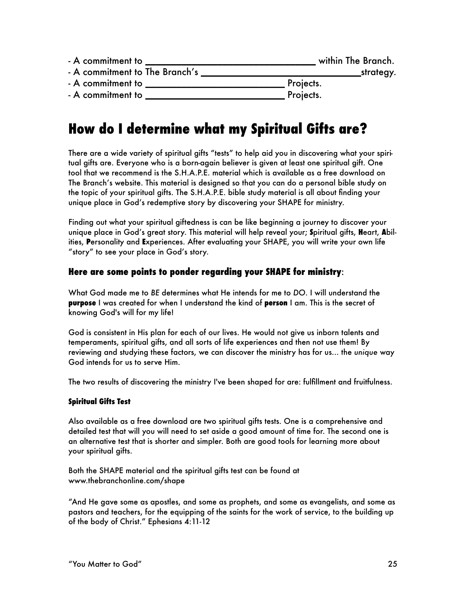| - A commitment to              | within The Branch. |
|--------------------------------|--------------------|
| - A commitment to The Branch's | _strategy.         |
| - A commitment to              | Projects.          |
| - A commitment to              | Projects.          |

# **How do I determine what my Spiritual Gifts are?**

There are a wide variety of spiritual gifts "tests" to help aid you in discovering what your spiritual gifts are. Everyone who is a born-again believer is given at least one spiritual gift. One tool that we recommend is the S.H.A.P.E. material which is available as a free download on The Branch's website. This material is designed so that you can do a personal bible study on the topic of your spiritual gifts. The S.H.A.P.E. bible study material is all about finding your unique place in God's redemptive story by discovering your SHAPE for ministry.

Finding out what your spiritual giftedness is can be like beginning a journey to discover your unique place in God's great story. This material will help reveal your; **S**piritual gifts, **H**eart, **A**bilities, **P**ersonality and **E**xperiences. After evaluating your SHAPE, you will write your own life "story" to see your place in God's story.

## **Here are some points to ponder regarding your SHAPE for ministry**:

What God made me to *BE* determines what He intends for me to *DO*. I will understand the **purpose** I was created for when I understand the kind of **person** I am. This is the secret of knowing God's will for my life!

God is consistent in His plan for each of our lives. He would not give us inborn talents and temperaments, spiritual gifts, and all sorts of life experiences and then not use them! By reviewing and studying these factors, we can discover the ministry has for us... the *unique* way God intends for us to serve Him.

The two results of discovering the ministry I've been shaped for are: fulfillment and fruitfulness.

#### **Spiritual Gifts Test**

Also available as a free download are two spiritual gifts tests. One is a comprehensive and detailed test that will you will need to set aside a good amount of time for. The second one is an alternative test that is shorter and simpler. Both are good tools for learning more about your spiritual gifts.

Both the SHAPE material and the spiritual gifts test can be found at www.thebranchonline.com/shape

"And He gave some as apostles, and some as prophets, and some as evangelists, and some as pastors and teachers, for the equipping of the saints for the work of service, to the building up of the body of Christ." Ephesians 4:11-12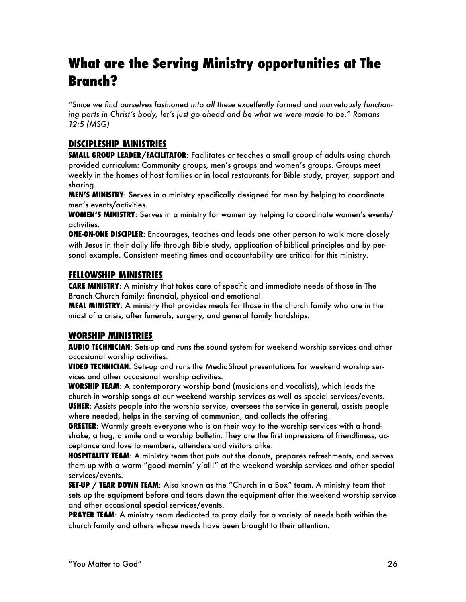# **What are the Serving Ministry opportunities at The Branch?**

*"Since we find ourselves fashioned into all these excellently formed and marvelously functioning parts in Christ's body, let's just go ahead and be what we were made to be." Romans 12:5 (MSG)* 

## **DISCIPLESHIP MINISTRIES**

**SMALL GROUP LEADER/FACILITATOR**: Facilitates or teaches a small group of adults using church provided curriculum: Community groups, men's groups and women's groups. Groups meet weekly in the homes of host families or in local restaurants for Bible study, prayer, support and sharing.

**MEN'S MINISTRY**: Serves in a ministry specifically designed for men by helping to coordinate men's events/activities.

**WOMEN'S MINISTRY**: Serves in a ministry for women by helping to coordinate women's events/ activities.

**ONE-ON-ONE DISCIPLER**: Encourages, teaches and leads one other person to walk more closely with Jesus in their daily life through Bible study, application of biblical principles and by personal example. Consistent meeting times and accountability are critical for this ministry.

## **FELLOWSHIP MINISTRIES**

**CARE MINISTRY**: A ministry that takes care of specific and immediate needs of those in The Branch Church family: financial, physical and emotional.

**MEAL MINISTRY**: A ministry that provides meals for those in the church family who are in the midst of a crisis, after funerals, surgery, and general family hardships.

## **WORSHIP MINISTRIES**

**AUDIO TECHNICIAN**: Sets-up and runs the sound system for weekend worship services and other occasional worship activities.

**VIDEO TECHNICIAN**: Sets-up and runs the MediaShout presentations for weekend worship services and other occasional worship activities.

**WORSHIP TEAM**: A contemporary worship band (musicians and vocalists), which leads the church in worship songs at our weekend worship services as well as special services/events. **USHER**: Assists people into the worship service, oversees the service in general, assists people where needed, helps in the serving of communion, and collects the offering.

**GREETER**: Warmly greets everyone who is on their way to the worship services with a handshake, a hug, a smile and a worship bulletin. They are the first impressions of friendliness, acceptance and love to members, attenders and visitors alike.

**HOSPITALITY TEAM**: A ministry team that puts out the donuts, prepares refreshments, and serves them up with a warm "good mornin' y'all!" at the weekend worship services and other special services/events.

**SET-UP / TEAR DOWN TEAM**: Also known as the "Church in a Box" team. A ministry team that sets up the equipment before and tears down the equipment after the weekend worship service and other occasional special services/events.

**PRAYER TEAM**: A ministry team dedicated to pray daily for a variety of needs both within the church family and others whose needs have been brought to their attention.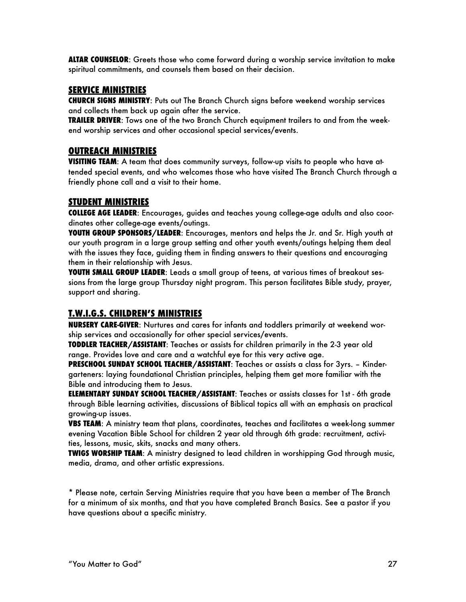**ALTAR COUNSELOR**: Greets those who come forward during a worship service invitation to make spiritual commitments, and counsels them based on their decision.

## **SERVICE MINISTRIES**

**CHURCH SIGNS MINISTRY**: Puts out The Branch Church signs before weekend worship services and collects them back up again after the service.

**TRAILER DRIVER**: Tows one of the two Branch Church equipment trailers to and from the weekend worship services and other occasional special services/events.

## **OUTREACH MINISTRIES**

**VISITING TEAM**: A team that does community surveys, follow-up visits to people who have attended special events, and who welcomes those who have visited The Branch Church through a friendly phone call and a visit to their home.

# **STUDENT MINISTRIES**

**COLLEGE AGE LEADER**: Encourages, guides and teaches young college-age adults and also coordinates other college-age events/outings.

**YOUTH GROUP SPONSORS/LEADER**: Encourages, mentors and helps the Jr. and Sr. High youth at our youth program in a large group setting and other youth events/outings helping them deal with the issues they face, guiding them in finding answers to their questions and encouraging them in their relationship with Jesus.

**YOUTH SMALL GROUP LEADER**: Leads a small group of teens, at various times of breakout sessions from the large group Thursday night program. This person facilitates Bible study, prayer, support and sharing.

# **T.W.I.G.S. CHILDREN'S MINISTRIES**

**NURSERY CARE-GIVER**: Nurtures and cares for infants and toddlers primarily at weekend worship services and occasionally for other special services/events.

**TODDLER TEACHER/ASSISTANT**: Teaches or assists for children primarily in the 2-3 year old range. Provides love and care and a watchful eye for this very active age.

**PRESCHOOL SUNDAY SCHOOL TEACHER/ASSISTANT**: Teaches or assists a class for 3yrs. – Kindergarteners: laying foundational Christian principles, helping them get more familiar with the Bible and introducing them to Jesus.

**ELEMENTARY SUNDAY SCHOOL TEACHER/ASSISTANT**: Teaches or assists classes for 1st - 6th grade through Bible learning activities, discussions of Biblical topics all with an emphasis on practical growing-up issues.

**VBS TEAM**: A ministry team that plans, coordinates, teaches and facilitates a week-long summer evening Vacation Bible School for children 2 year old through 6th grade: recruitment, activities, lessons, music, skits, snacks and many others.

**TWIGS WORSHIP TEAM**: A ministry designed to lead children in worshipping God through music, media, drama, and other artistic expressions.

\* Please note, certain Serving Ministries require that you have been a member of The Branch for a minimum of six months, and that you have completed Branch Basics. See a pastor if you have questions about a specific ministry.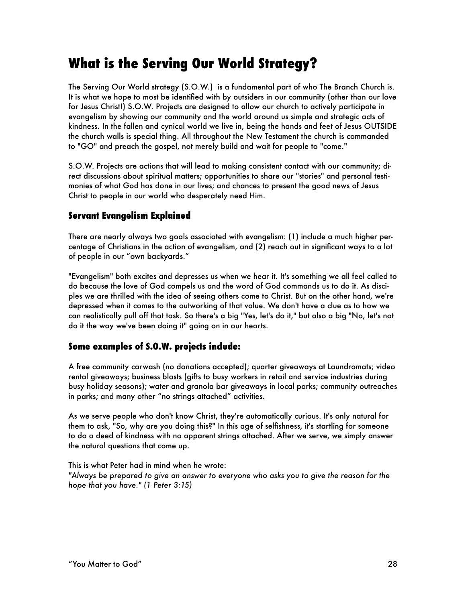# **What is the Serving Our World Strategy?**

The Serving Our World strategy (S.O.W.) is a fundamental part of who The Branch Church is. It is what we hope to most be identified with by outsiders in our community (other than our love for Jesus Christ!) S.O.W. Projects are designed to allow our church to actively participate in evangelism by showing our community and the world around us simple and strategic acts of kindness. In the fallen and cynical world we live in, being the hands and feet of Jesus OUTSIDE the church walls is special thing. All throughout the New Testament the church is commanded to "GO" and preach the gospel, not merely build and wait for people to "come."

S.O.W. Projects are actions that will lead to making consistent contact with our community; direct discussions about spiritual matters; opportunities to share our "stories" and personal testimonies of what God has done in our lives; and chances to present the good news of Jesus Christ to people in our world who desperately need Him.

# **Servant Evangelism Explained**

There are nearly always two goals associated with evangelism: (1) include a much higher percentage of Christians in the action of evangelism, and (2) reach out in significant ways to a lot of people in our "own backyards."

"Evangelism" both excites and depresses us when we hear it. It's something we all feel called to do because the love of God compels us and the word of God commands us to do it. As disciples we are thrilled with the idea of seeing others come to Christ. But on the other hand, we're depressed when it comes to the outworking of that value. We don't have a clue as to how we can realistically pull off that task. So there's a big "Yes, let's do it," but also a big "No, let's not do it the way we've been doing it" going on in our hearts.

# **Some examples of S.O.W. projects include:**

A free community carwash (no donations accepted); quarter giveaways at Laundromats; video rental giveaways; business blasts (gifts to busy workers in retail and service industries during busy holiday seasons); water and granola bar giveaways in local parks; community outreaches in parks; and many other "no strings attached" activities.

As we serve people who don't know Christ, they're automatically curious. It's only natural for them to ask, "So, why are you doing this?" In this age of selfishness, it's startling for someone to do a deed of kindness with no apparent strings attached. After we serve, we simply answer the natural questions that come up.

This is what Peter had in mind when he wrote:

*"Always be prepared to give an answer to everyone who asks you to give the reason for the hope that you have." (1 Peter 3:15)*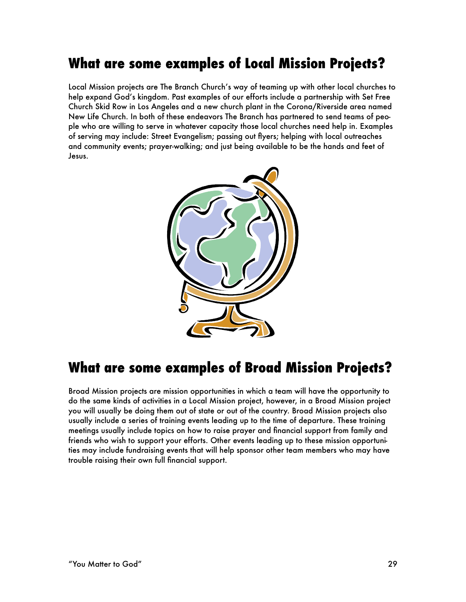# **What are some examples of Local Mission Projects?**

Local Mission projects are The Branch Church's way of teaming up with other local churches to help expand God's kingdom. Past examples of our efforts include a partnership with Set Free Church Skid Row in Los Angeles and a new church plant in the Corona/Riverside area named New Life Church. In both of these endeavors The Branch has partnered to send teams of people who are willing to serve in whatever capacity those local churches need help in. Examples of serving may include: Street Evangelism; passing out flyers; helping with local outreaches and community events; prayer-walking; and just being available to be the hands and feet of Jesus.



# **What are some examples of Broad Mission Projects?**

Broad Mission projects are mission opportunities in which a team will have the opportunity to do the same kinds of activities in a Local Mission project, however, in a Broad Mission project you will usually be doing them out of state or out of the country. Broad Mission projects also usually include a series of training events leading up to the time of departure. These training meetings usually include topics on how to raise prayer and financial support from family and friends who wish to support your efforts. Other events leading up to these mission opportunities may include fundraising events that will help sponsor other team members who may have trouble raising their own full financial support.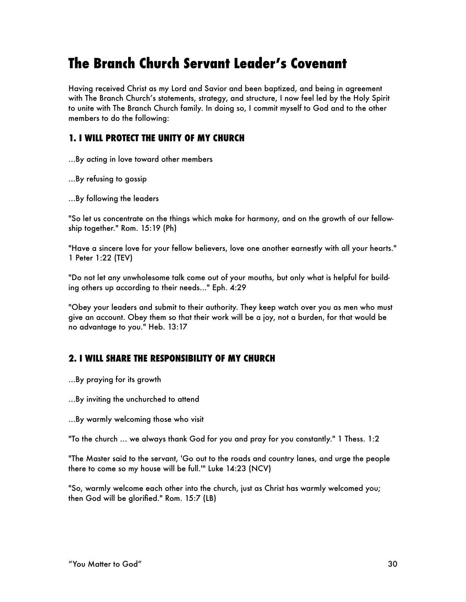# **The Branch Church Servant Leader's Covenant**

Having received Christ as my Lord and Savior and been baptized, and being in agreement with The Branch Church's statements, strategy, and structure, I now feel led by the Holy Spirit to unite with The Branch Church family. In doing so, I commit myself to God and to the other members to do the following:

# **1. I WILL PROTECT THE UNITY OF MY CHURCH**

...By acting in love toward other members

...By refusing to gossip

...By following the leaders

"So let us concentrate on the things which make for harmony, and on the growth of our fellowship together." Rom. 15:19 (Ph)

"Have a sincere love for your fellow believers, love one another earnestly with all your hearts." 1 Peter 1:22 (TEV)

"Do not let any unwholesome talk come out of your mouths, but only what is helpful for building others up according to their needs..." Eph. 4:29

"Obey your leaders and submit to their authority. They keep watch over you as men who must give an account. Obey them so that their work will be a joy, not a burden, for that would be no advantage to you." Heb. 13:17

# **2. I WILL SHARE THE RESPONSIBILITY OF MY CHURCH**

...By praying for its growth

...By inviting the unchurched to attend

...By warmly welcoming those who visit

"To the church ... we always thank God for you and pray for you constantly." 1 Thess. 1:2

"The Master said to the servant, 'Go out to the roads and country lanes, and urge the people there to come so my house will be full.'" Luke 14:23 (NCV)

"So, warmly welcome each other into the church, just as Christ has warmly welcomed you; then God will be glorified." Rom. 15:7 (LB)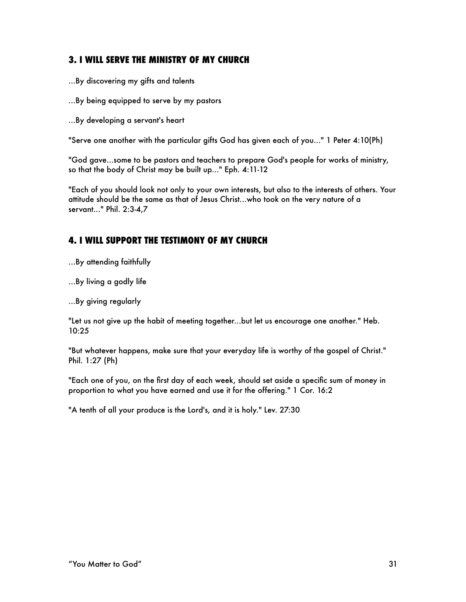# **3. I WILL SERVE THE MINISTRY OF MY CHURCH**

- ...By discovering my gifts and talents
- ...By being equipped to serve by my pastors
- ...By developing a servant's heart

"Serve one another with the particular gifts God has given each of you..." 1 Peter 4:10(Ph)

"God gave...some to be pastors and teachers to prepare God's people for works of ministry, so that the body of Christ may be built up..." Eph. 4:11-12

"Each of you should look not only to your own interests, but also to the interests of others. Your attitude should be the same as that of Jesus Christ...who took on the very nature of a servant..." Phil. 2:3-4,7

# **4. I WILL SUPPORT THE TESTIMONY OF MY CHURCH**

...By attending faithfully

...By living a godly life

...By giving regularly

"Let us not give up the habit of meeting together...but let us encourage one another." Heb. 10:25

"But whatever happens, make sure that your everyday life is worthy of the gospel of Christ." Phil. 1:27 (Ph)

"Each one of you, on the first day of each week, should set aside a specific sum of money in proportion to what you have earned and use it for the offering." 1 Cor. 16:2

"A tenth of all your produce is the Lord's, and it is holy." Lev. 27:30